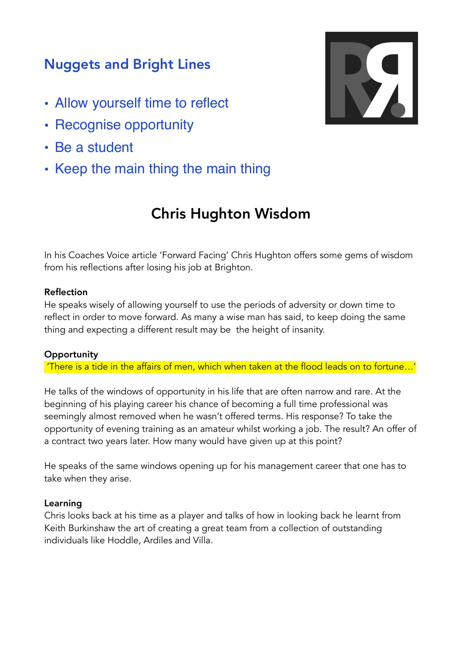# Nuggets and Bright Lines

- Allow yourself time to reflect
- Recognise opportunity
- Be a student
- Keep the main thing the main thing

# Chris Hughton Wisdom

In his Coaches Voice article 'Forward Facing' Chris Hughton offers some gems of wisdom from his reflections after losing his job at Brighton.

## Reflection

He speaks wisely of allowing yourself to use the periods of adversity or down time to reflect in order to move forward. As many a wise man has said, to keep doing the same thing and expecting a different result may be the height of insanity.

#### **Opportunity**

'There is a tide in the affairs of men, which when taken at the flood leads on to fortune…'

He talks of the windows of opportunity in his life that are often narrow and rare. At the beginning of his playing career his chance of becoming a full time professional was seemingly almost removed when he wasn't offered terms. His response? To take the opportunity of evening training as an amateur whilst working a job. The result? An offer of a contract two years later. How many would have given up at this point?

He speaks of the same windows opening up for his management career that one has to take when they arise.

#### Learning

Chris looks back at his time as a player and talks of how in looking back he learnt from Keith Burkinshaw the art of creating a great team from a collection of outstanding individuals like Hoddle, Ardiles and Villa.